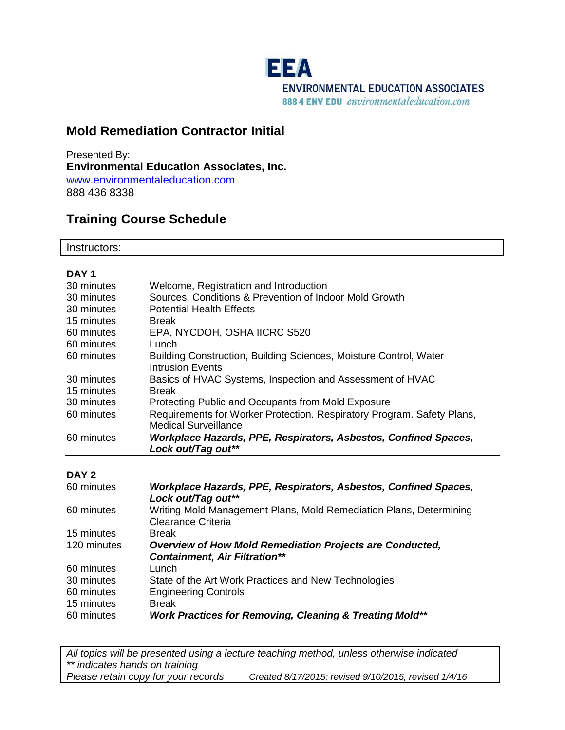

# **Mold Remediation Contractor Initial**

Presented By: **Environmental Education Associates, Inc.** [www.environmentaleducation.com](http://www.environmentaleducation.com/) 888 436 8338

# **Training Course Schedule**

Instructors:

| DAY <sub>1</sub> |                                                                                       |
|------------------|---------------------------------------------------------------------------------------|
| 30 minutes       | Welcome, Registration and Introduction                                                |
| 30 minutes       | Sources, Conditions & Prevention of Indoor Mold Growth                                |
| 30 minutes       | <b>Potential Health Effects</b>                                                       |
| 15 minutes       | <b>Break</b>                                                                          |
| 60 minutes       | EPA, NYCDOH, OSHA IICRC S520                                                          |
| 60 minutes       | Lunch                                                                                 |
| 60 minutes       | Building Construction, Building Sciences, Moisture Control, Water<br>Intrusion Events |
| 30 minutes       | Basics of HVAC Systems, Inspection and Assessment of HVAC                             |
| 15 minutes       | <b>Break</b>                                                                          |
| 30 minutes       | Protecting Public and Occupants from Mold Exposure                                    |
| 60 minutes       | Requirements for Worker Protection. Respiratory Program. Safety Plans,                |
|                  | <b>Medical Surveillance</b>                                                           |
| 60 minutes       | Workplace Hazards, PPE, Respirators, Asbestos, Confined Spaces,                       |
|                  | Lock out/Tag out**                                                                    |

#### **DAY 2**

| 60 minutes  | Workplace Hazards, PPE, Respirators, Asbestos, Confined Spaces,<br>Lock out/Tag out**    |
|-------------|------------------------------------------------------------------------------------------|
| 60 minutes  | Writing Mold Management Plans, Mold Remediation Plans, Determining<br>Clearance Criteria |
| 15 minutes  | <b>Break</b>                                                                             |
| 120 minutes | <b>Overview of How Mold Remediation Projects are Conducted,</b>                          |
|             | <b>Containment, Air Filtration**</b>                                                     |
| 60 minutes  | Lunch                                                                                    |
| 30 minutes  | State of the Art Work Practices and New Technologies                                     |
| 60 minutes  | <b>Engineering Controls</b>                                                              |
| 15 minutes  | <b>Break</b>                                                                             |
| 60 minutes  | <b>Work Practices for Removing, Cleaning &amp; Treating Mold**</b>                       |

*All topics will be presented using a lecture teaching method, unless otherwise indicated \*\* indicates hands on training Please retain copy for your records Created 8/17/2015; revised 9/10/2015, revised 1/4/16*